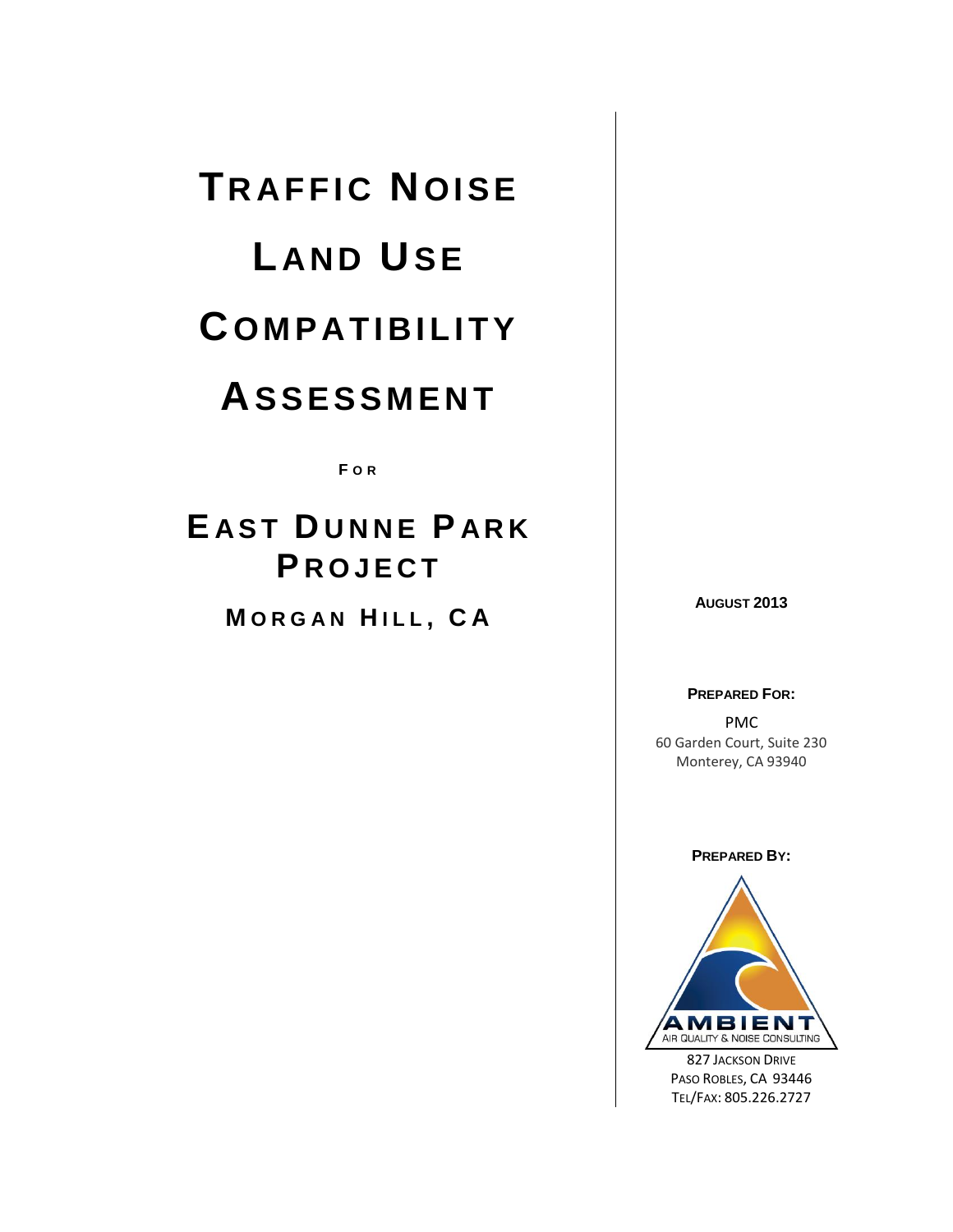# **TRAFFIC NOISE L AND USE CO M P A T IB I L I T Y AS S ES SM E N T**

**F O R**

# **E A S T DU N N E P A R K P R O J E C T**

**MORGAN HILL, CA** AUGUST 2013

#### **PREPARED FOR:**

PMC 60 Garden Court, Suite 230 Monterey, CA 93940

#### **PREPARED BY:**



827 JACKSON DRIVE PASO ROBLES, CA 93446 TEL/FAX: 805.226.2727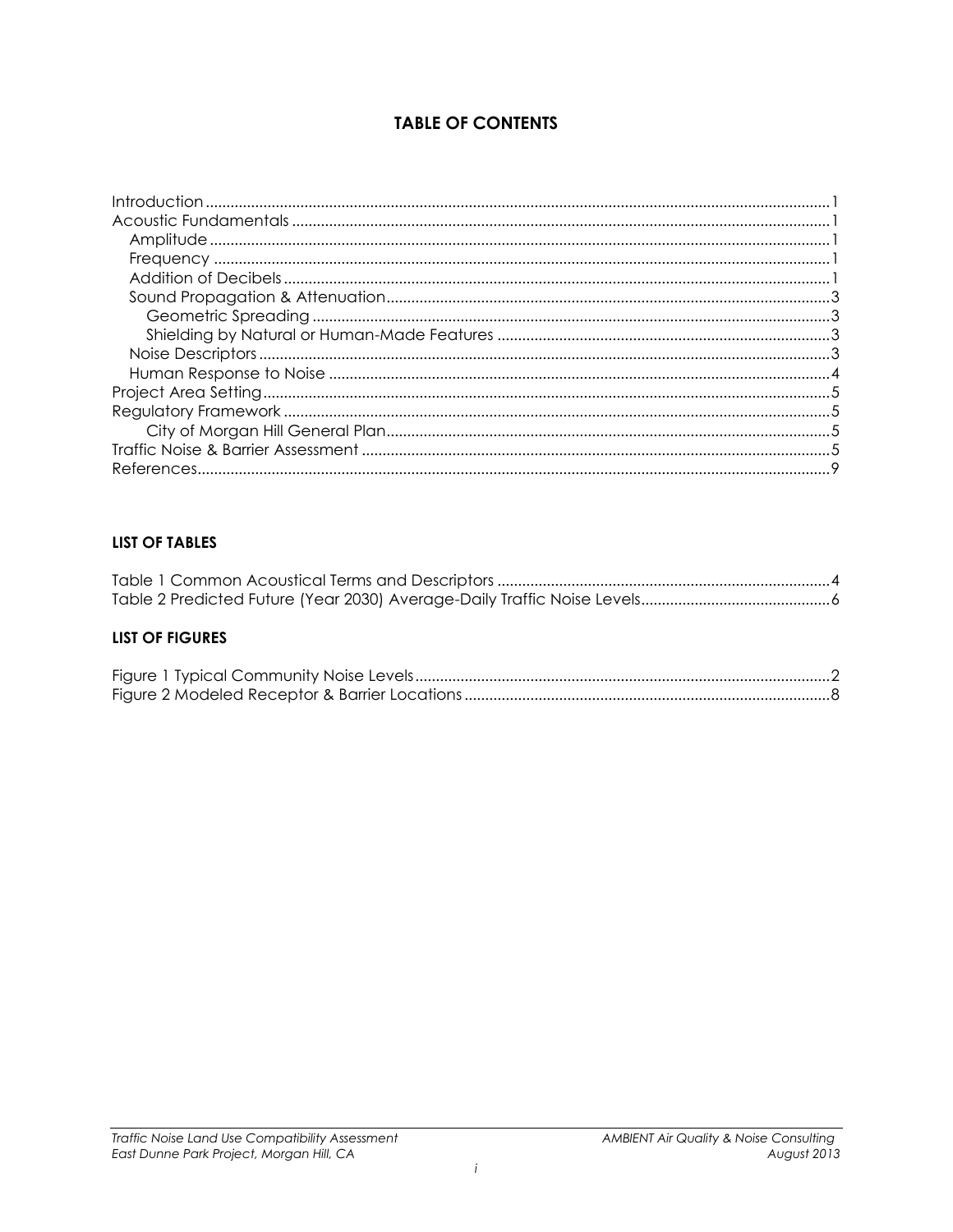# **TABLE OF CONTENTS**

# **LIST OF TABLES**

#### **LIST OF FIGURES**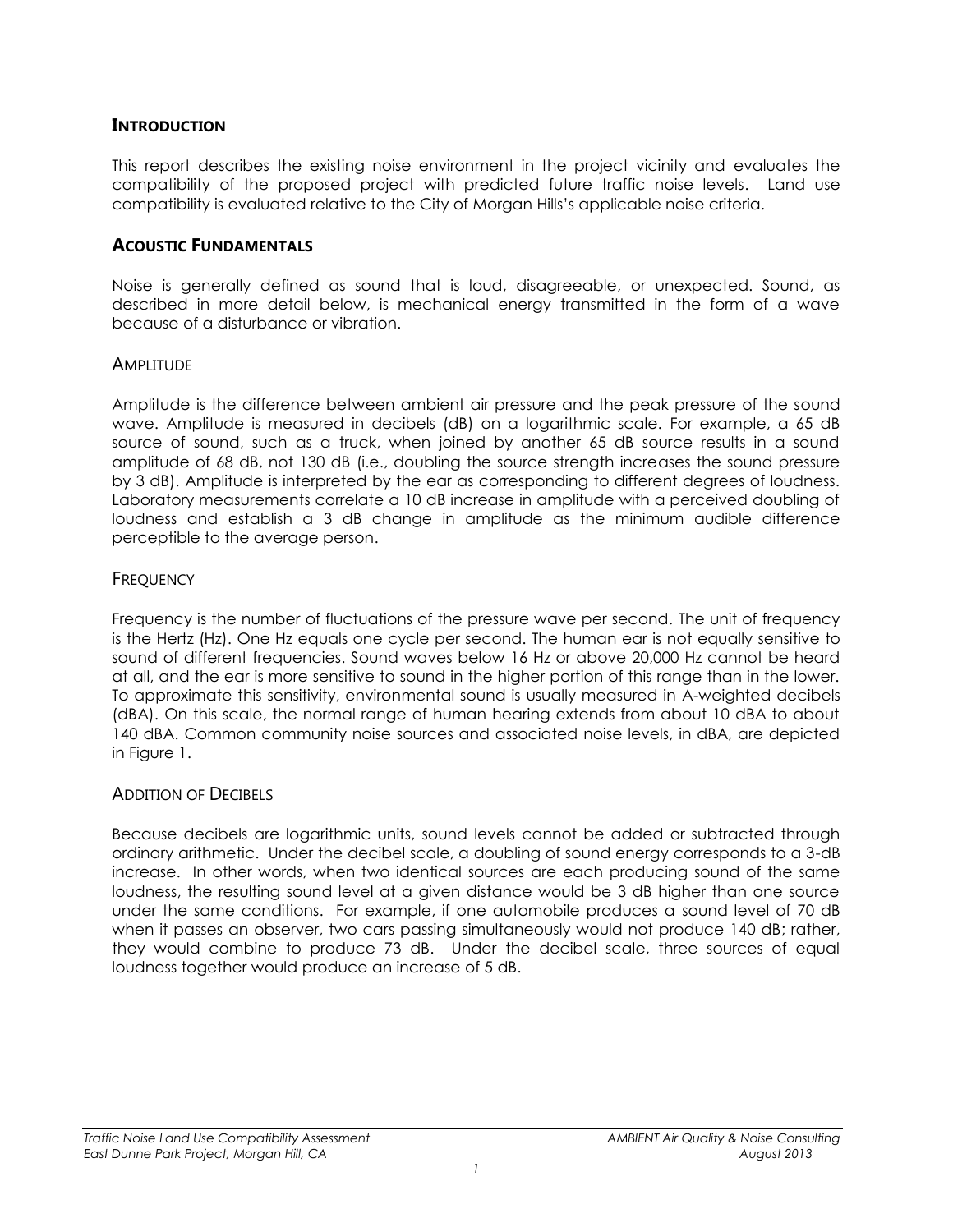## <span id="page-2-0"></span>**INTRODUCTION**

This report describes the existing noise environment in the project vicinity and evaluates the compatibility of the proposed project with predicted future traffic noise levels. Land use compatibility is evaluated relative to the City of Morgan Hills's applicable noise criteria.

# <span id="page-2-1"></span>**ACOUSTIC FUNDAMENTALS**

Noise is generally defined as sound that is loud, disagreeable, or unexpected. Sound, as described in more detail below, is mechanical energy transmitted in the form of a wave because of a disturbance or vibration.

#### <span id="page-2-2"></span>**AMPLITUDE**

Amplitude is the difference between ambient air pressure and the peak pressure of the sound wave. Amplitude is measured in decibels (dB) on a logarithmic scale. For example, a 65 dB source of sound, such as a truck, when joined by another 65 dB source results in a sound amplitude of 68 dB, not 130 dB (i.e., doubling the source strength increases the sound pressure by 3 dB). Amplitude is interpreted by the ear as corresponding to different degrees of loudness. Laboratory measurements correlate a 10 dB increase in amplitude with a perceived doubling of loudness and establish a 3 dB change in amplitude as the minimum audible difference perceptible to the average person.

#### <span id="page-2-3"></span>**FREQUENCY**

Frequency is the number of fluctuations of the pressure wave per second. The unit of frequency is the Hertz (Hz). One Hz equals one cycle per second. The human ear is not equally sensitive to sound of different frequencies. Sound waves below 16 Hz or above 20,000 Hz cannot be heard at all, and the ear is more sensitive to sound in the higher portion of this range than in the lower. To approximate this sensitivity, environmental sound is usually measured in A-weighted decibels (dBA). On this scale, the normal range of human hearing extends from about 10 dBA to about 140 dBA. Common community noise sources and associated noise levels, in dBA, are depicted in Figure 1.

#### <span id="page-2-4"></span>ADDITION OF DECIBELS

Because decibels are logarithmic units, sound levels cannot be added or subtracted through ordinary arithmetic. Under the decibel scale, a doubling of sound energy corresponds to a 3-dB increase. In other words, when two identical sources are each producing sound of the same loudness, the resulting sound level at a given distance would be 3 dB higher than one source under the same conditions. For example, if one automobile produces a sound level of 70 dB when it passes an observer, two cars passing simultaneously would not produce 140 dB; rather, they would combine to produce 73 dB. Under the decibel scale, three sources of equal loudness together would produce an increase of 5 dB.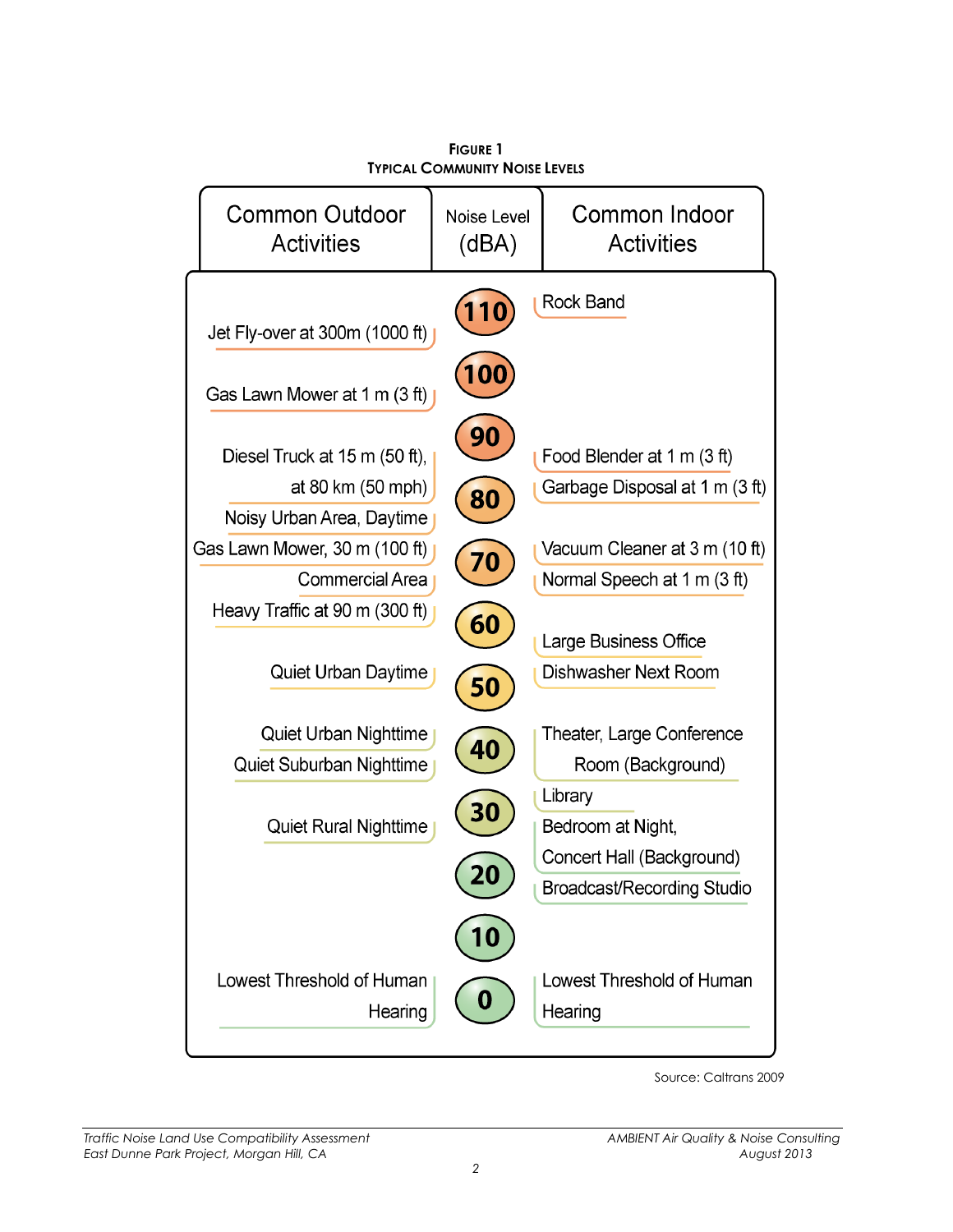<span id="page-3-0"></span>

**FIGURE 1 TYPICAL COMMUNITY NOISE LEVELS**

Source: Caltrans 2009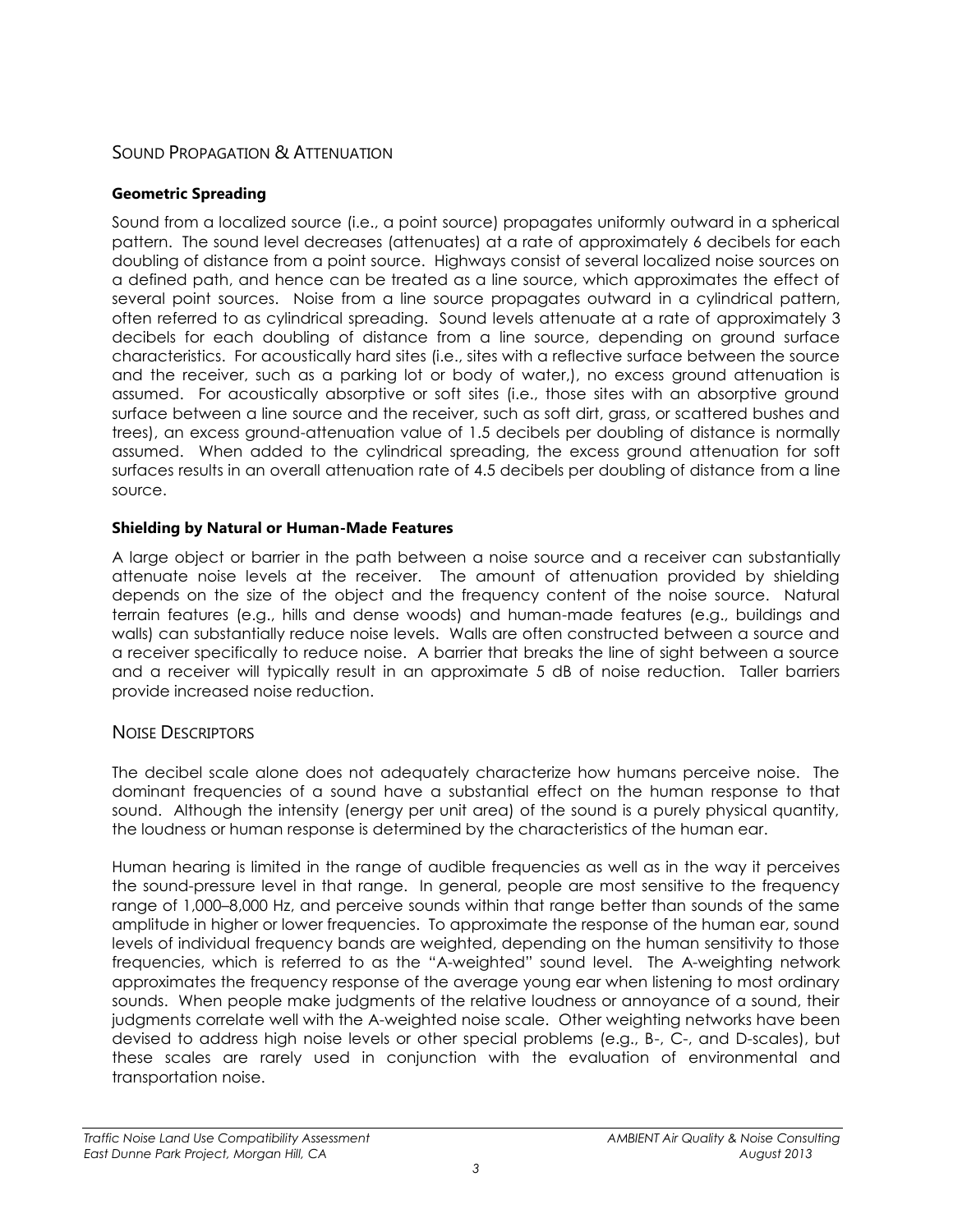# <span id="page-4-0"></span>SOUND PROPAGATION & ATTENUATION

# <span id="page-4-1"></span>**Geometric Spreading**

Sound from a localized source (i.e., a point source) propagates uniformly outward in a spherical pattern. The sound level decreases (attenuates) at a rate of approximately 6 decibels for each doubling of distance from a point source. Highways consist of several localized noise sources on a defined path, and hence can be treated as a line source, which approximates the effect of several point sources. Noise from a line source propagates outward in a cylindrical pattern, often referred to as cylindrical spreading. Sound levels attenuate at a rate of approximately 3 decibels for each doubling of distance from a line source, depending on ground surface characteristics. For acoustically hard sites (i.e., sites with a reflective surface between the source and the receiver, such as a parking lot or body of water,), no excess ground attenuation is assumed. For acoustically absorptive or soft sites (i.e., those sites with an absorptive ground surface between a line source and the receiver, such as soft dirt, grass, or scattered bushes and trees), an excess ground-attenuation value of 1.5 decibels per doubling of distance is normally assumed. When added to the cylindrical spreading, the excess ground attenuation for soft surfaces results in an overall attenuation rate of 4.5 decibels per doubling of distance from a line source.

# <span id="page-4-2"></span>**Shielding by Natural or Human-Made Features**

A large object or barrier in the path between a noise source and a receiver can substantially attenuate noise levels at the receiver. The amount of attenuation provided by shielding depends on the size of the object and the frequency content of the noise source. Natural terrain features (e.g., hills and dense woods) and human-made features (e.g., buildings and walls) can substantially reduce noise levels. Walls are often constructed between a source and a receiver specifically to reduce noise. A barrier that breaks the line of sight between a source and a receiver will typically result in an approximate 5 dB of noise reduction. Taller barriers provide increased noise reduction.

# <span id="page-4-3"></span>NOISE DESCRIPTORS

The decibel scale alone does not adequately characterize how humans perceive noise. The dominant frequencies of a sound have a substantial effect on the human response to that sound. Although the intensity (energy per unit area) of the sound is a purely physical quantity, the loudness or human response is determined by the characteristics of the human ear.

Human hearing is limited in the range of audible frequencies as well as in the way it perceives the sound-pressure level in that range. In general, people are most sensitive to the frequency range of 1,000–8,000 Hz, and perceive sounds within that range better than sounds of the same amplitude in higher or lower frequencies. To approximate the response of the human ear, sound levels of individual frequency bands are weighted, depending on the human sensitivity to those frequencies, which is referred to as the "A-weighted" sound level. The A-weighting network approximates the frequency response of the average young ear when listening to most ordinary sounds. When people make judgments of the relative loudness or annoyance of a sound, their judgments correlate well with the A-weighted noise scale. Other weighting networks have been devised to address high noise levels or other special problems (e.g., B-, C-, and D-scales), but these scales are rarely used in conjunction with the evaluation of environmental and transportation noise.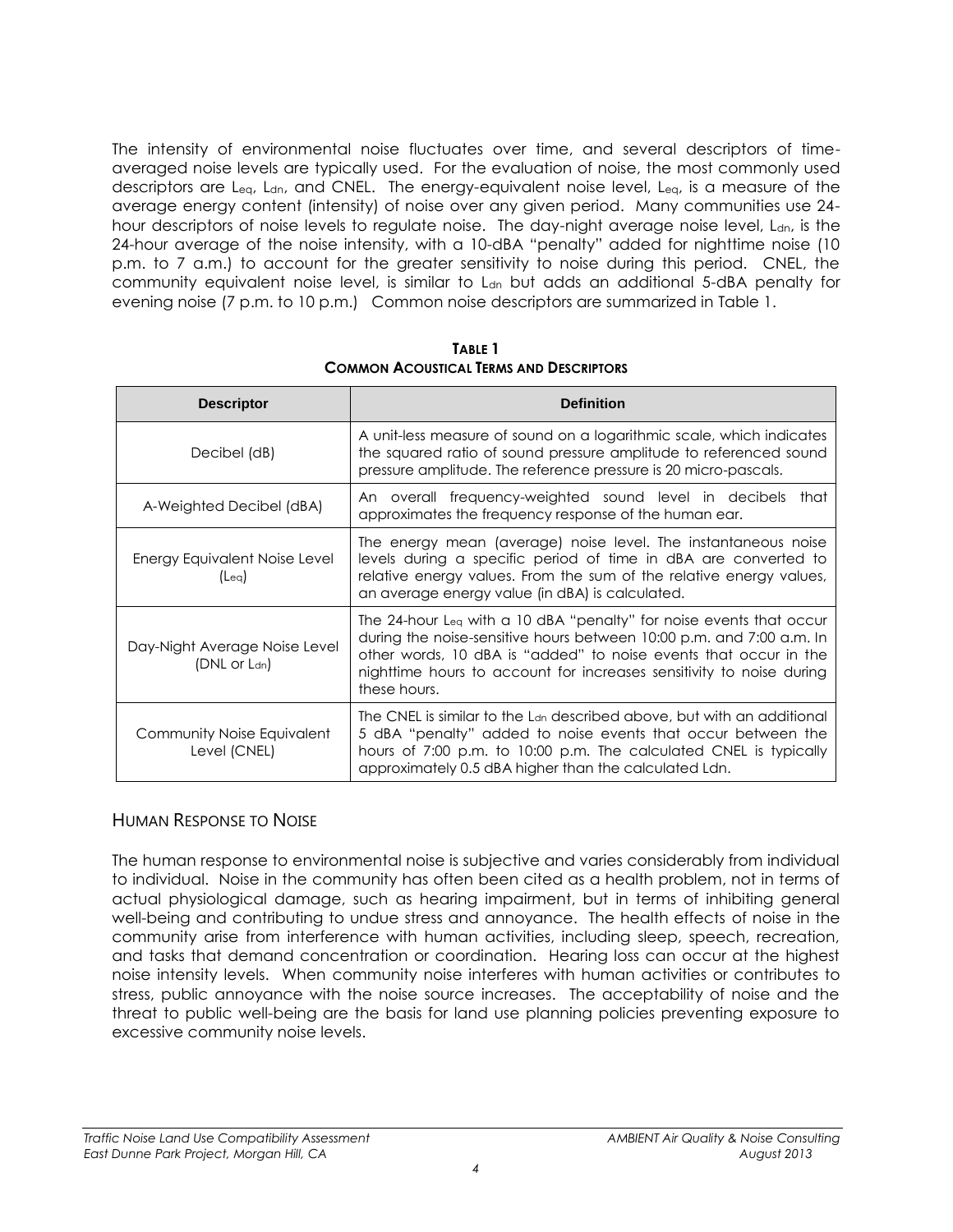The intensity of environmental noise fluctuates over time, and several descriptors of timeaveraged noise levels are typically used. For the evaluation of noise, the most commonly used descriptors are Leq, Ldn, and CNEL. The energy-equivalent noise level, Leq, is a measure of the average energy content (intensity) of noise over any given period. Many communities use 24 hour descriptors of noise levels to regulate noise. The day-night average noise level, L<sub>dn</sub>, is the 24-hour average of the noise intensity, with a 10-dBA "penalty" added for nighttime noise (10 p.m. to 7 a.m.) to account for the greater sensitivity to noise during this period. CNEL, the community equivalent noise level, is similar to L<sub>dn</sub> but adds an additional 5-dBA penalty for evening noise (7 p.m. to 10 p.m.) Common noise descriptors are summarized in Table 1.

<span id="page-5-1"></span>

| <b>Descriptor</b>                             | <b>Definition</b>                                                                                                                                                                                                                                                                                                   |  |  |
|-----------------------------------------------|---------------------------------------------------------------------------------------------------------------------------------------------------------------------------------------------------------------------------------------------------------------------------------------------------------------------|--|--|
| Decibel (dB)                                  | A unit-less measure of sound on a logarithmic scale, which indicates<br>the squared ratio of sound pressure amplitude to referenced sound<br>pressure amplitude. The reference pressure is 20 micro-pascals.                                                                                                        |  |  |
| A-Weighted Decibel (dBA)                      | An overall frequency-weighted sound level in decibels<br>that<br>approximates the frequency response of the human ear.                                                                                                                                                                                              |  |  |
| Energy Equivalent Noise Level<br>$($ Leg $)$  | The energy mean (average) noise level. The instantaneous noise<br>levels during a specific period of time in dBA are converted to<br>relative energy values. From the sum of the relative energy values,<br>an average energy value (in dBA) is calculated.                                                         |  |  |
| Day-Night Average Noise Level<br>(DNL or Ldn) | The 24-hour L <sub>eq</sub> with a 10 dBA "penalty" for noise events that occur<br>during the noise-sensitive hours between 10:00 p.m. and 7:00 a.m. In<br>other words, 10 dBA is "added" to noise events that occur in the<br>nighttime hours to account for increases sensitivity to noise during<br>these hours. |  |  |
| Community Noise Equivalent<br>Level (CNEL)    | The CNEL is similar to the L <sub>dn</sub> described above, but with an additional<br>5 dBA "penalty" added to noise events that occur between the<br>hours of 7:00 p.m. to 10:00 p.m. The calculated CNEL is typically<br>approximately 0.5 dBA higher than the calculated Ldn.                                    |  |  |

**TABLE 1 COMMON ACOUSTICAL TERMS AND DESCRIPTORS**

# <span id="page-5-0"></span>HUMAN RESPONSE TO NOISE

The human response to environmental noise is subjective and varies considerably from individual to individual. Noise in the community has often been cited as a health problem, not in terms of actual physiological damage, such as hearing impairment, but in terms of inhibiting general well-being and contributing to undue stress and annoyance. The health effects of noise in the community arise from interference with human activities, including sleep, speech, recreation, and tasks that demand concentration or coordination. Hearing loss can occur at the highest noise intensity levels. When community noise interferes with human activities or contributes to stress, public annoyance with the noise source increases. The acceptability of noise and the threat to public well-being are the basis for land use planning policies preventing exposure to excessive community noise levels.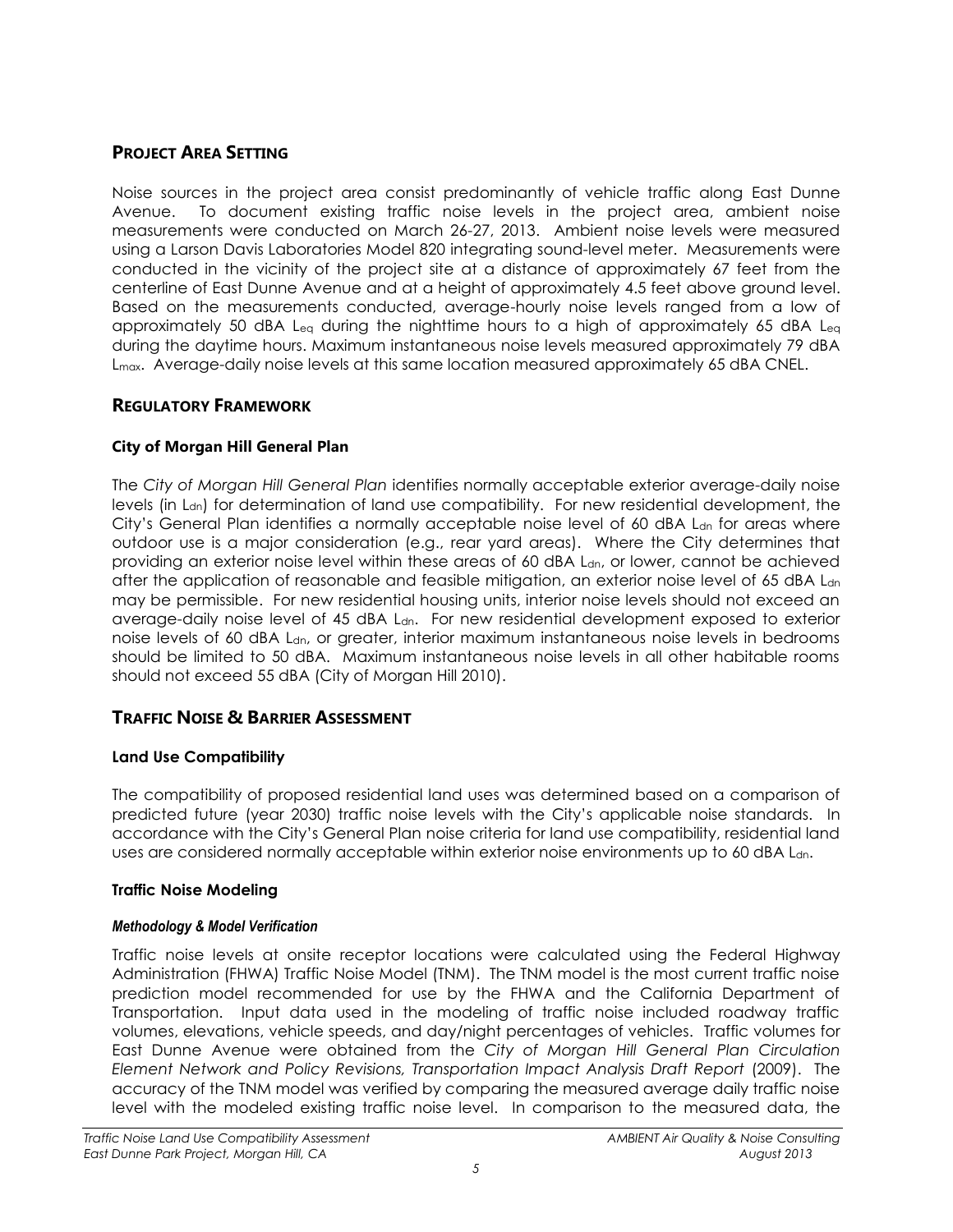# <span id="page-6-0"></span>**PROJECT AREA SETTING**

Noise sources in the project area consist predominantly of vehicle traffic along East Dunne Avenue. To document existing traffic noise levels in the project area, ambient noise measurements were conducted on March 26-27, 2013. Ambient noise levels were measured using a Larson Davis Laboratories Model 820 integrating sound-level meter. Measurements were conducted in the vicinity of the project site at a distance of approximately 67 feet from the centerline of East Dunne Avenue and at a height of approximately 4.5 feet above ground level. Based on the measurements conducted, average-hourly noise levels ranged from a low of approximately 50 dBA L<sub>eq</sub> during the nighttime hours to a high of approximately 65 dBA L<sub>eq</sub> during the daytime hours. Maximum instantaneous noise levels measured approximately 79 dBA Lmax. Average-daily noise levels at this same location measured approximately 65 dBA CNEL.

# <span id="page-6-1"></span>**REGULATORY FRAMEWORK**

# <span id="page-6-2"></span>**City of Morgan Hill General Plan**

The *City of Morgan Hill General Plan* identifies normally acceptable exterior average-daily noise levels (in L<sub>dn</sub>) for determination of land use compatibility. For new residential development, the City's General Plan identifies a normally acceptable noise level of 60 dBA L<sub>dn</sub> for areas where outdoor use is a major consideration (e.g., rear yard areas). Where the City determines that providing an exterior noise level within these areas of 60 dBA  $L<sub>dn</sub>$ , or lower, cannot be achieved after the application of reasonable and feasible mitigation, an exterior noise level of 65 dBA Lan may be permissible. For new residential housing units, interior noise levels should not exceed an average-daily noise level of 45 dBA L<sub>dn</sub>. For new residential development exposed to exterior noise levels of 60 dBA L<sub>dn</sub>, or greater, interior maximum instantaneous noise levels in bedrooms should be limited to 50 dBA. Maximum instantaneous noise levels in all other habitable rooms should not exceed 55 dBA (City of Morgan Hill 2010).

# <span id="page-6-3"></span>**TRAFFIC NOISE & BARRIER ASSESSMENT**

# **Land Use Compatibility**

The compatibility of proposed residential land uses was determined based on a comparison of predicted future (year 2030) traffic noise levels with the City's applicable noise standards. In accordance with the City's General Plan noise criteria for land use compatibility, residential land uses are considered normally acceptable within exterior noise environments up to 60 dBA Ldn.

# **Traffic Noise Modeling**

# *Methodology & Model Verification*

Traffic noise levels at onsite receptor locations were calculated using the Federal Highway Administration (FHWA) Traffic Noise Model (TNM). The TNM model is the most current traffic noise prediction model recommended for use by the FHWA and the California Department of Transportation. Input data used in the modeling of traffic noise included roadway traffic volumes, elevations, vehicle speeds, and day/night percentages of vehicles. Traffic volumes for East Dunne Avenue were obtained from the *City of Morgan Hill General Plan Circulation Element Network and Policy Revisions, Transportation Impact Analysis Draft Report (2009). The* accuracy of the TNM model was verified by comparing the measured average daily traffic noise level with the modeled existing traffic noise level. In comparison to the measured data, the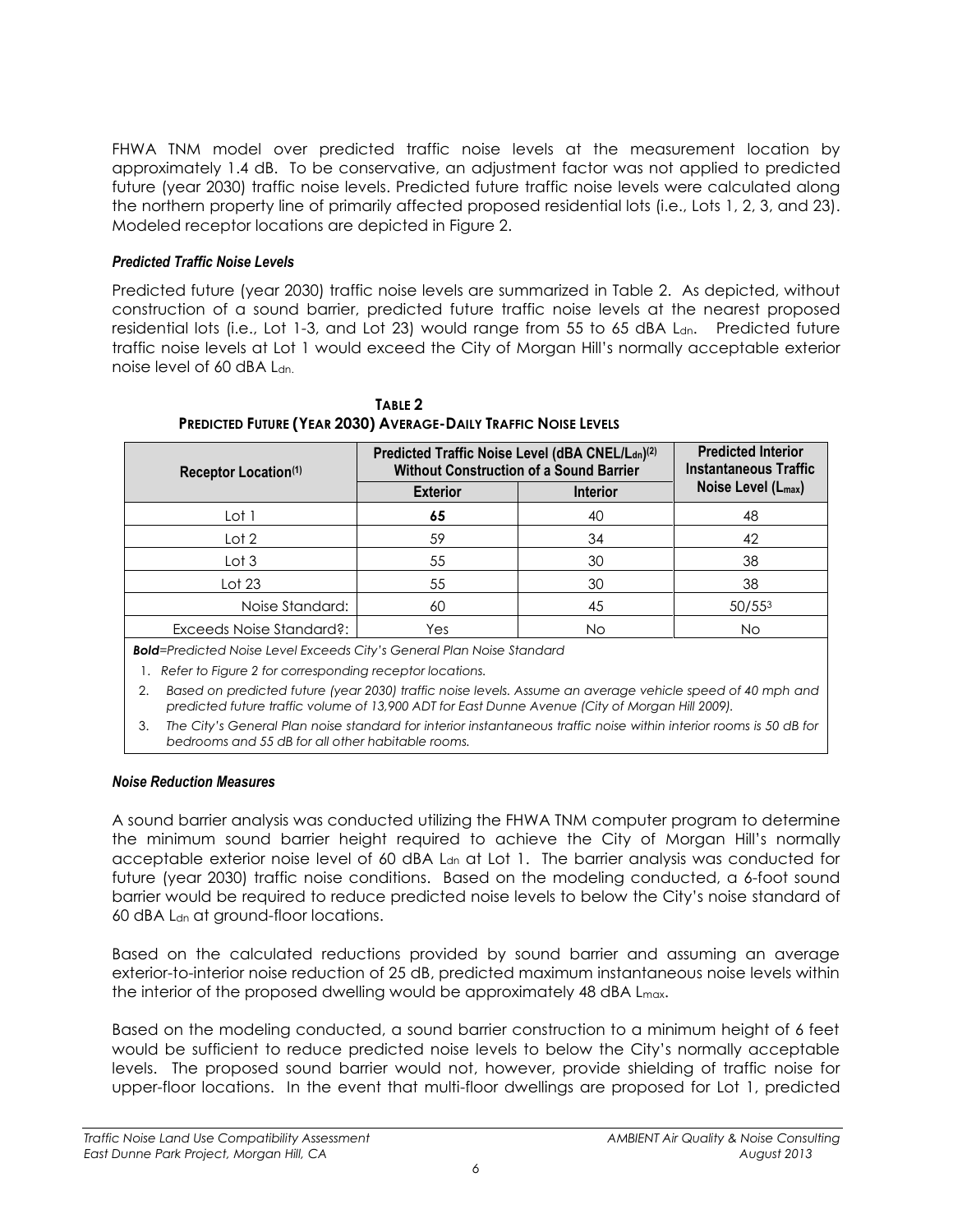FHWA TNM model over predicted traffic noise levels at the measurement location by approximately 1.4 dB. To be conservative, an adjustment factor was not applied to predicted future (year 2030) traffic noise levels. Predicted future traffic noise levels were calculated along the northern property line of primarily affected proposed residential lots (i.e., Lots 1, 2, 3, and 23). Modeled receptor locations are depicted in Figure 2.

#### *Predicted Traffic Noise Levels*

Predicted future (year 2030) traffic noise levels are summarized in Table 2. As depicted, without construction of a sound barrier, predicted future traffic noise levels at the nearest proposed residential lots (i.e., Lot 1-3, and Lot 23) would range from 55 to 65 dBA L<sub>dn</sub>. Predicted future traffic noise levels at Lot 1 would exceed the City of Morgan Hill's normally acceptable exterior noise level of 60 dBA Ldn.

| Receptor Location(1)     | Predicted Traffic Noise Level (dBA CNEL/Ldn) <sup>(2)</sup><br><b>Without Construction of a Sound Barrier</b> | <b>Predicted Interior</b><br><b>Instantaneous Traffic</b> |                                 |  |
|--------------------------|---------------------------------------------------------------------------------------------------------------|-----------------------------------------------------------|---------------------------------|--|
|                          | <b>Exterior</b>                                                                                               | <b>Interior</b>                                           | Noise Level (L <sub>max</sub> ) |  |
| Lot 1                    | 65                                                                                                            | 40                                                        | 48                              |  |
| Lot 2                    | 59                                                                                                            | 34                                                        | 42                              |  |
| Lot $3$                  | 55                                                                                                            | 30                                                        | 38                              |  |
| Lot $23$                 | 55                                                                                                            | 30                                                        | 38                              |  |
| Noise Standard:          | 60                                                                                                            | 45                                                        | 50/55 <sup>3</sup>              |  |
| Exceeds Noise Standard?: | Yes                                                                                                           | Νo                                                        | No                              |  |

<span id="page-7-0"></span>**TABLE 2 PREDICTED FUTURE (YEAR 2030) AVERAGE-DAILY TRAFFIC NOISE LEVELS**

*Bold=Predicted Noise Level Exceeds City's General Plan Noise Standard*

1. *Refer to Figure 2 for corresponding receptor locations.*

2. *Based on predicted future (year 2030) traffic noise levels. Assume an average vehicle speed of 40 mph and predicted future traffic volume of 13,900 ADT for East Dunne Avenue (City of Morgan Hill 2009).* 

3. *The City's General Plan noise standard for interior instantaneous traffic noise within interior rooms is 50 dB for bedrooms and 55 dB for all other habitable rooms.*

#### *Noise Reduction Measures*

A sound barrier analysis was conducted utilizing the FHWA TNM computer program to determine the minimum sound barrier height required to achieve the City of Morgan Hill's normally acceptable exterior noise level of 60 dBA  $L<sub>dn</sub>$  at Lot 1. The barrier analysis was conducted for future (year 2030) traffic noise conditions. Based on the modeling conducted, a 6-foot sound barrier would be required to reduce predicted noise levels to below the City's noise standard of 60 dBA Ldn at ground-floor locations.

Based on the calculated reductions provided by sound barrier and assuming an average exterior-to-interior noise reduction of 25 dB, predicted maximum instantaneous noise levels within the interior of the proposed dwelling would be approximately 48 dBA Lmax.

Based on the modeling conducted, a sound barrier construction to a minimum height of 6 feet would be sufficient to reduce predicted noise levels to below the City's normally acceptable levels. The proposed sound barrier would not, however, provide shielding of traffic noise for upper-floor locations. In the event that multi-floor dwellings are proposed for Lot 1, predicted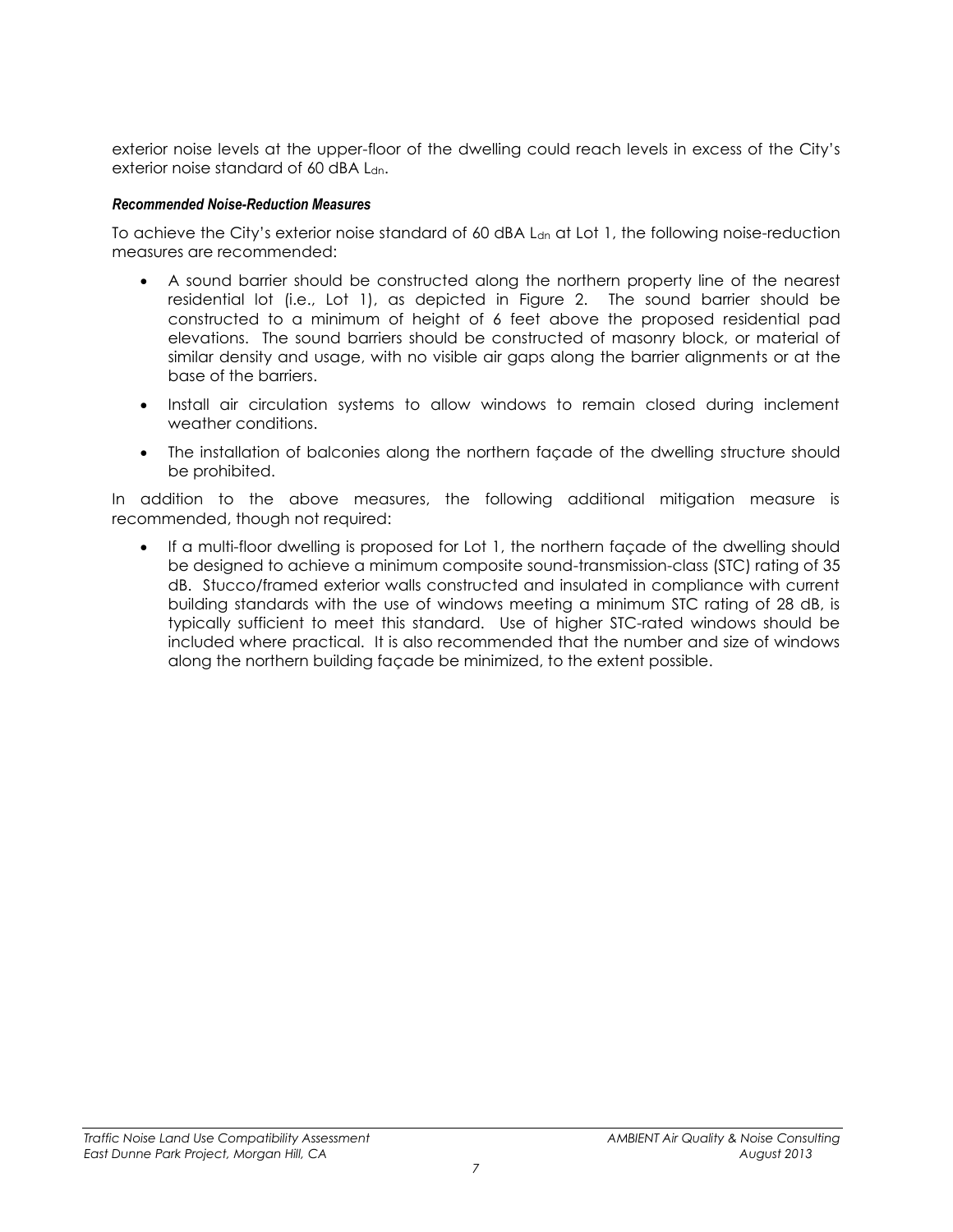exterior noise levels at the upper-floor of the dwelling could reach levels in excess of the City's exterior noise standard of 60 dBA Ldn.

#### *Recommended Noise-Reduction Measures*

To achieve the City's exterior noise standard of 60 dBA  $L<sub>dn</sub>$  at Lot 1, the following noise-reduction measures are recommended:

- A sound barrier should be constructed along the northern property line of the nearest residential lot (i.e., Lot 1), as depicted in Figure 2.The sound barrier should be constructed to a minimum of height of 6 feet above the proposed residential pad elevations. The sound barriers should be constructed of masonry block, or material of similar density and usage, with no visible air gaps along the barrier alignments or at the base of the barriers.
- Install air circulation systems to allow windows to remain closed during inclement weather conditions.
- The installation of balconies along the northern façade of the dwelling structure should be prohibited.

In addition to the above measures, the following additional mitigation measure is recommended, though not required:

 If a multi-floor dwelling is proposed for Lot 1, the northern façade of the dwelling should be designed to achieve a minimum composite sound-transmission-class (STC) rating of 35 dB. Stucco/framed exterior walls constructed and insulated in compliance with current building standards with the use of windows meeting a minimum STC rating of 28 dB, is typically sufficient to meet this standard. Use of higher STC-rated windows should be included where practical. It is also recommended that the number and size of windows along the northern building façade be minimized, to the extent possible.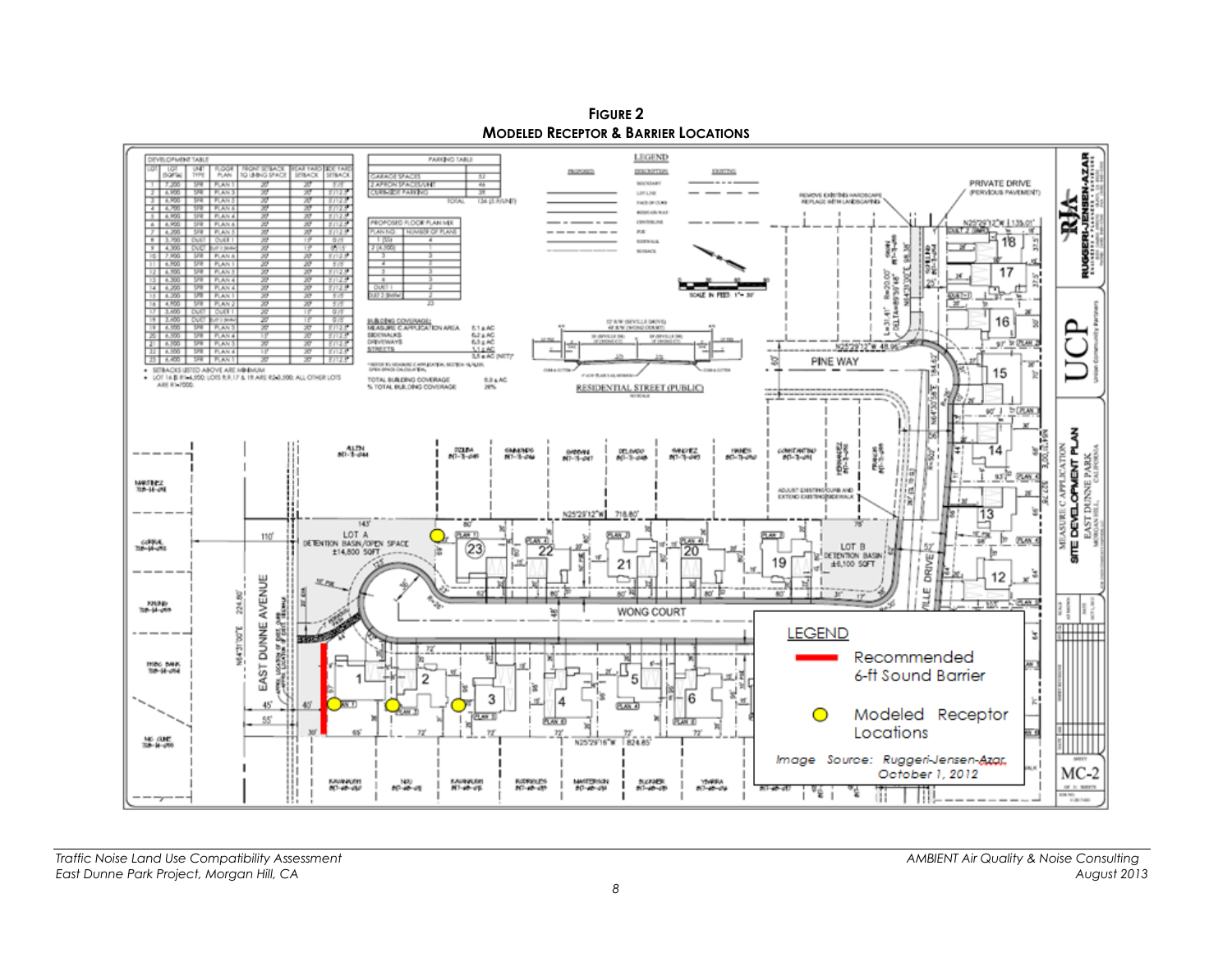<span id="page-9-0"></span>LEGEND AZAR PARENG TABLE **SEVELOPMENT TABLE** UNT FLOOR RIGHT STRACK  $\frac{10!}{10!}$ EAR TARD BOE TAR DESCRIPTION PROPOSITO EXHTING. CARACE UNICE PRIVATE DRIVE  $+720$ SR FLAN **ZAPRON SPACES/UNI** BOUNDARY -----对本 **OF FAN** LOFLINE **PERVIOUS PAVEMENTS** REMOVE EXBITING HARDSCAPE M. IS ANNIE **EACH OF CURS REIN ACT WITH LANDSCAPERS** 4 4200 SR PLANA  $87720$ **MOST-DE RAY** N257201204 135.01<br>EXKT 2 (SMC) = = = = = = = **CONTRACTOR** PROPOSED FLOOR PLAN MET. 4 4.900 SPR PLANT ANNO. INJMADI OF FLANS  $_{\rm RL}$  $--- - \frac{1}{18}$  $- - -$ **SKAN**<br>RP-71-295  $\frac{1}{2}$   $\frac{1}{100}$  $\frac{1}{14.300}$ **NET DUET SDFRAGE SELES DOUT NOTES NIMACK GLAS 3,00.17** 10 7.900 5/8 PLAN **RUGS**  $\frac{1}{11}$  4.500  $\frac{1}{2}$   $\frac{1}{2}$   $\frac{1}{2}$   $\frac{1}{2}$  $17$ 12 6.500 SPR PLANT R=20.00<br>939'48 14 6,200 2/8 FLANT w L=31.41"<br>-081.14=8 **T** butt 16 14 3 3 450 <u>BUBICÍNG COVERAGE:</u><br>NEASURE C APPUICATION AREA IT RW GEVILLE SEND ېم 51 a AC<br>63 a AC<br>63 a AC<br>51 a AC (NET) 49 KW (WOND COUNT)  $+7.40$ **SR FLAN** SECONALIS N252912'W 48.96  $97.202$ 21 6.300 SPR PLANT **STREETS**  $\frac{22}{23}$  6.800 S/R PLAN 희 **PINE WAY** REFER TO REMOVED CAPPLEMBER, RECISIVE HUMANI, SITINGS USTED ABOVE ARE MINIMUM **CALLA COTTAGE** 15  $\mathfrak{D}$ ARE RE 1999, LOS 8, P.17 & 18 ARE REG.199, ALL OTHER LOS **CONTRACTOR** TOTAL BUILDING COVERAGE 0.9 a AC<br>26% S TOTAL BUILDING COVERAGE **RESIDENTIAL STREET (PUBLIC) 3,95,00.19W** mp 90' | PLAN MEASURE CAPPLICATION<br>**SITE DEVELOPMENT PLAN** ts. is.<br>E 1994652  $80 - 1 - 24$ **PZLBA**<br>BFI-3-des SMANDS<br>ND-3-06 医心房 **DELANDO**<br>INT-3-048 **SNOTZ**<br>N7-71-00 INVES<br>NGC 1-050 constantino<br>MI-3-om 14 OVERALL  $$ ß EAST DUNNE PARK la  $95$ MAINEZ<br>TOD-14-018 \$27.78 an andormeter tende i et EXTEND EXPERIMENTATION N25'29'12"W 718.80' 13 i di V æ × LOT A **PLAN 1** FLAN<sub>3</sub> **PLAN J** cu 110 b PLAN 4 **CARAL**<br>TU-M-011 DETENTION BASIN/OPEN SPACE  $(23)$ LOT B ±14,800 SQFT 诰 **b** DETENTION BASIN 꿪 19  $21$  $\frac{d}{dx}$  ±6,100 SQFT **DRU**  $12$ EAST DUNNE AVENUE ᆋ lLLE 224.80  $^{1959}_{78-95-000}$  $-2M3$ **MARK OF THE CARD WAY**  $1.957$ WONG COURT 图 **aminin** 3,00,15,998 **LEGEND**  $\mathbf{\tilde{z}}$ asket 35 Recommended HOG DAK<br>TID-14-014 6-ft Sound Barrier  $\overline{2}$ ïю 3 6 4 Ltf, 45 45 BAY. Ray 3 Modeled Receptor  $\circ$ **PEAN**  $55'$ PLAN ED incuir a **shiiliilii** Locations 65.6  $\overline{n}$ 72 72 光學 **T824.85** N25'29'16"W  $\frac{1}{2}$ Image Source: Ruggeri-Jensen-Azar,  $MC-2$ October 1, 2012 KAWAKINI<br>BO-ab-ak  $60 - 60$ eadhrain<br>Ní-re-cr ROPHUZH<br>NG<del>C 45</del>-45 MARTERISAN NAMES<br>NHA-de YMBA<br>80-48-04 or  $n$  neares. थ≨ां 2 28.763<br>|-<br>| 11.00 74.01 --

**FIGURE 2 MODELED RECEPTOR & BARRIER LOCATIONS**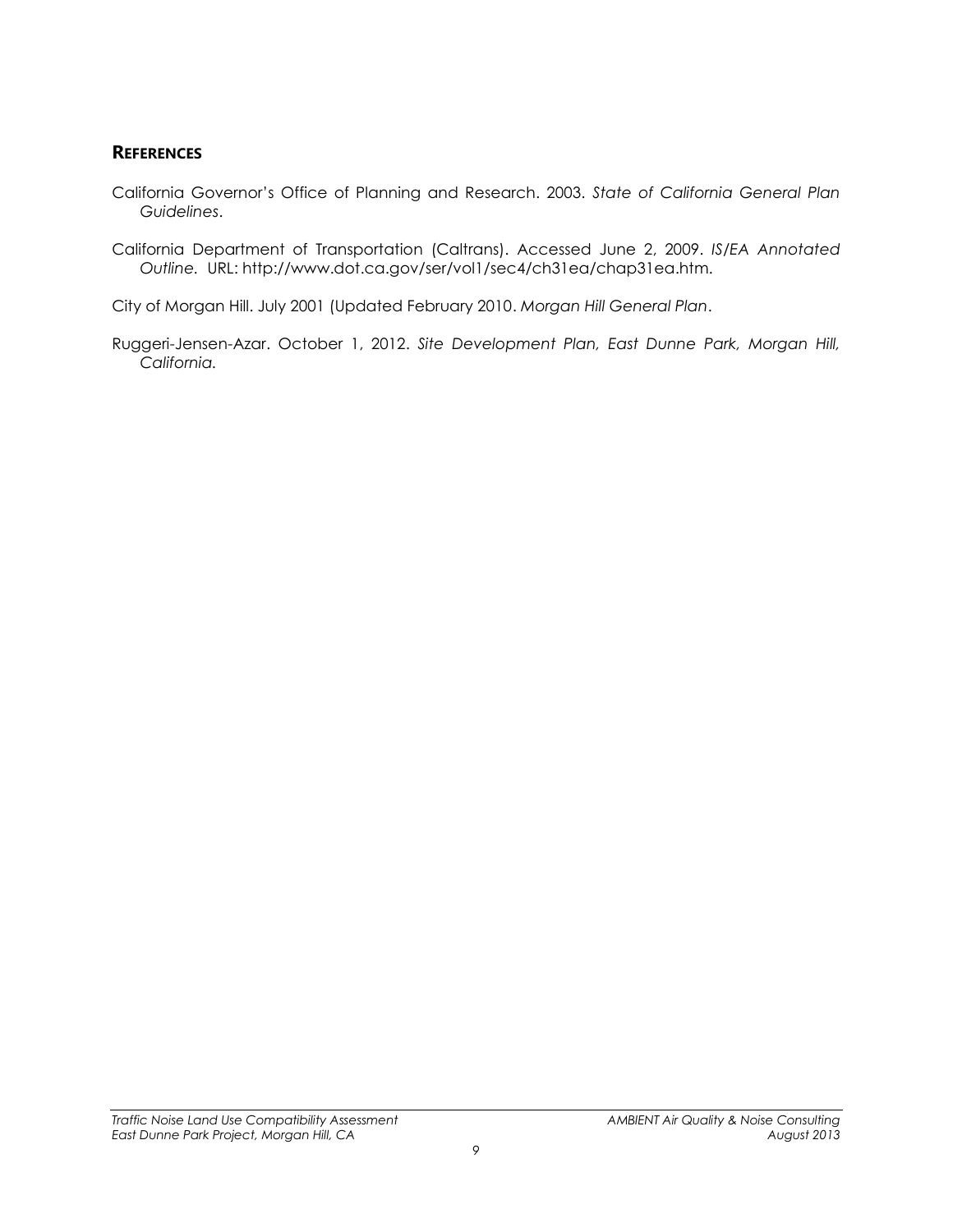# <span id="page-10-0"></span>**REFERENCES**

- California Governor's Office of Planning and Research. 2003. *State of California General Plan Guidelines*.
- California Department of Transportation (Caltrans). Accessed June 2, 2009. *IS/EA Annotated Outline.* URL: http://www.dot.ca.gov/ser/vol1/sec4/ch31ea/chap31ea.htm.

City of Morgan Hill. July 2001 (Updated February 2010. *Morgan Hill General Plan*.

Ruggeri-Jensen-Azar. October 1, 2012. *Site Development Plan, East Dunne Park, Morgan Hill, California.*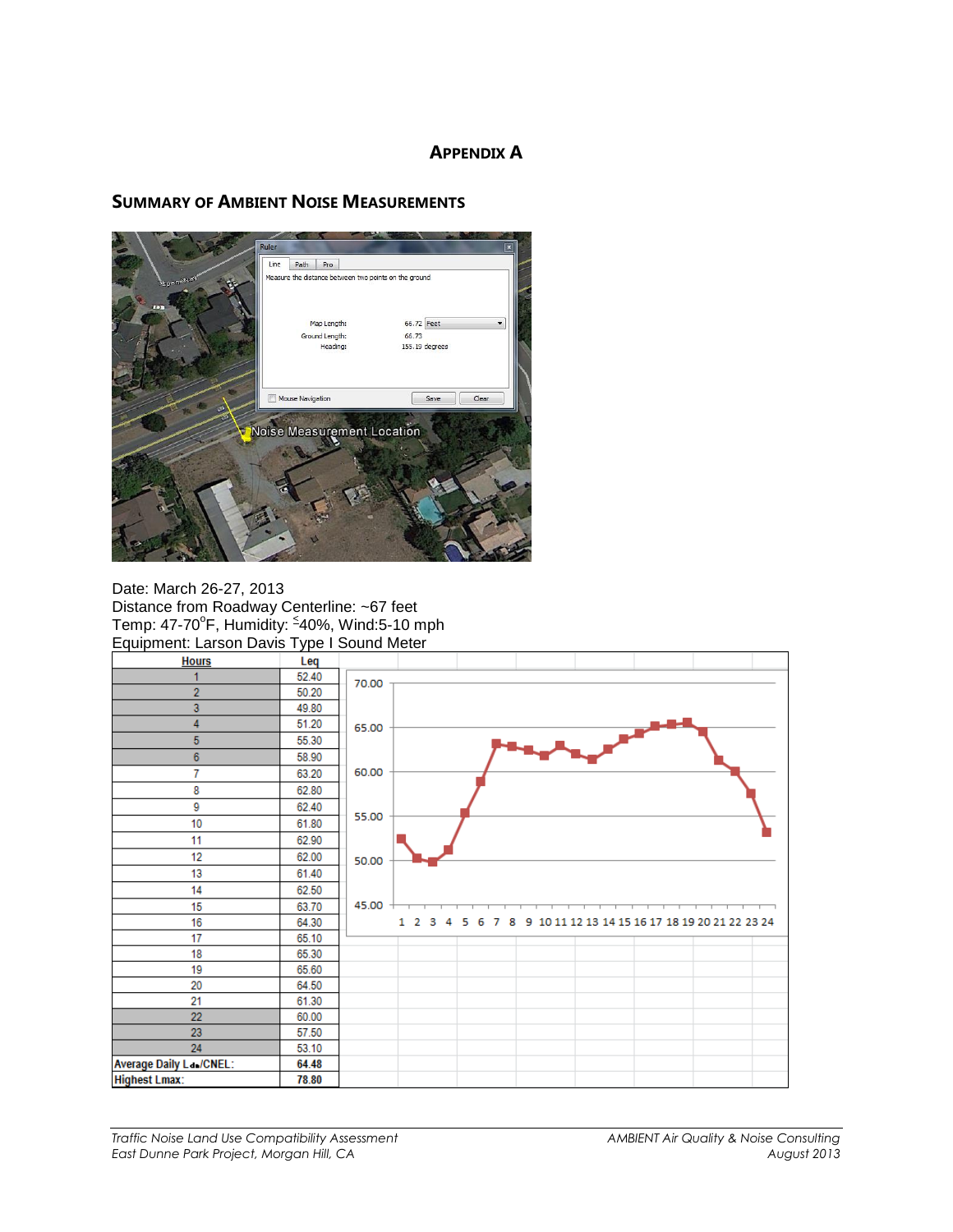## **APPENDIX A**

## **SUMMARY OF AMBIENT NOISE MEASUREMENTS**

|       |                                       | Pro<br>Measure the distance between two points on the ground | <b>Xpenantal</b> |
|-------|---------------------------------------|--------------------------------------------------------------|------------------|
|       | 66.72 Feet<br>66.73<br>155.19 degrees | Map Length:<br>Ground Length:<br>Heading:                    | m                |
| Clear | Save                                  | <b>Mouse Navigation</b><br>Noise Measurement Location        |                  |
|       |                                       |                                                              |                  |
|       |                                       |                                                              |                  |

Date: March 26-27, 2013 Distance from Roadway Centerline: ~67 feet Temp: 47-70°F, Humidity: <sup>≤</sup>40%, Wind:5-10 mph Equipment: Larson Davis Type I Sound Meter